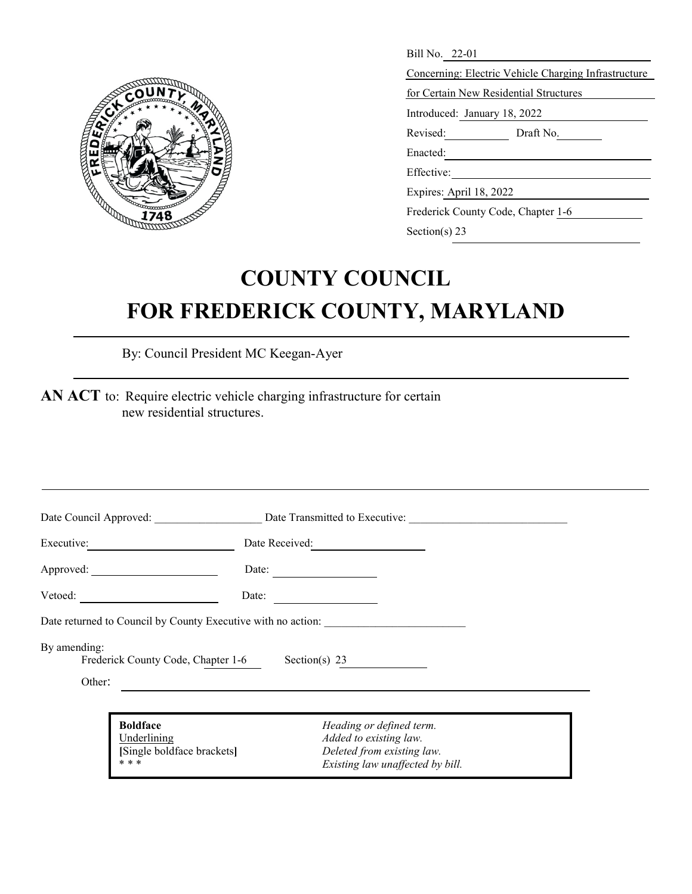

| Bill No. 22-01                                       |
|------------------------------------------------------|
| Concerning: Electric Vehicle Charging Infrastructure |
| for Certain New Residential Structures               |
| Introduced: January 18, 2022                         |
| Revised:<br>Draft No.                                |
| Enacted:                                             |
| Effective:                                           |
| Expires: April 18, 2022                              |
| Frederick County Code, Chapter 1-6                   |
| Section(s) $23$                                      |

## **COUNTY COUNCIL FOR FREDERICK COUNTY, MARYLAND**

By: Council President MC Keegan-Ayer

**AN ACT** to: Require electric vehicle charging infrastructure for certain new residential structures.

|                                                              | Date Council Approved: Date Transmitted to Executive:                            |  |
|--------------------------------------------------------------|----------------------------------------------------------------------------------|--|
| Executive: 2000                                              | Date Received:                                                                   |  |
|                                                              | Date:                                                                            |  |
|                                                              | Date:                                                                            |  |
|                                                              | Date returned to Council by County Executive with no action:                     |  |
| By amending:<br>Frederick County Code, Chapter 1-6           | Section(s) 23                                                                    |  |
| Other:                                                       |                                                                                  |  |
| <b>Boldface</b><br>Underlining<br>[Single boldface brackets] | Heading or defined term.<br>Added to existing law.<br>Deleted from existing law. |  |
| * * *                                                        | Existing law unaffected by bill.                                                 |  |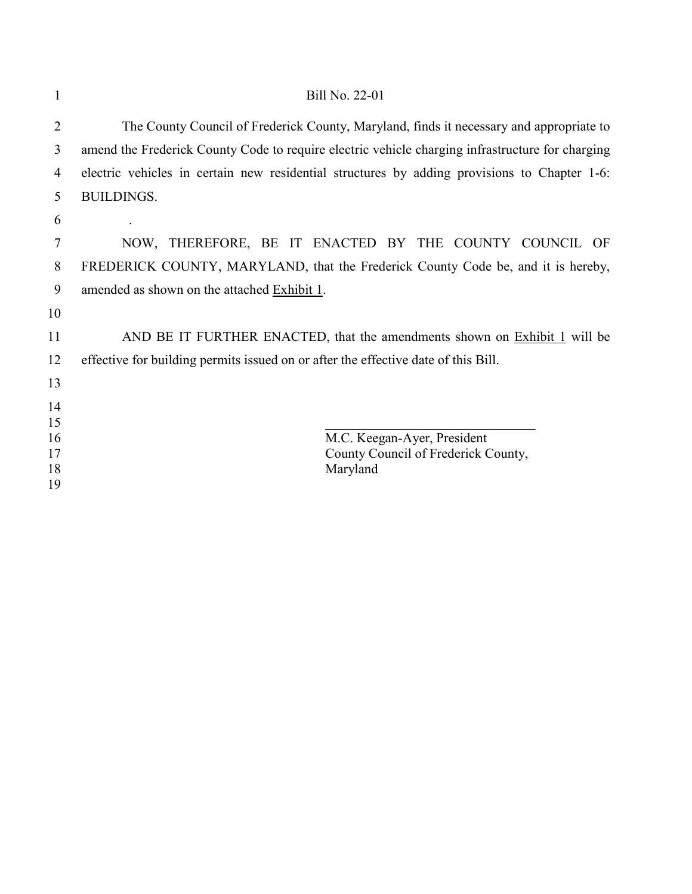| 1              | <b>Bill No. 22-01</b>                                                                            |
|----------------|--------------------------------------------------------------------------------------------------|
| $\overline{2}$ | The County Council of Frederick County, Maryland, finds it necessary and appropriate to          |
| 3              | amend the Frederick County Code to require electric vehicle charging infrastructure for charging |
| $\overline{4}$ | electric vehicles in certain new residential structures by adding provisions to Chapter 1-6:     |
| 5              | <b>BUILDINGS.</b>                                                                                |
| 6              |                                                                                                  |
| 7              | NOW, THEREFORE, BE IT ENACTED BY THE COUNTY COUNCIL OF                                           |
| 8              | FREDERICK COUNTY, MARYLAND, that the Frederick County Code be, and it is hereby,                 |
| 9              | amended as shown on the attached Exhibit 1.                                                      |
| 10             |                                                                                                  |
| 11             | AND BE IT FURTHER ENACTED, that the amendments shown on <b>Exhibit 1</b> will be                 |
| 12             | effective for building permits issued on or after the effective date of this Bill.               |
| 13             |                                                                                                  |
| 14             |                                                                                                  |
| 15<br>16       | M.C. Keegan-Ayer, President                                                                      |
| 17             | County Council of Frederick County,                                                              |
| 18             | Maryland                                                                                         |
| 19             |                                                                                                  |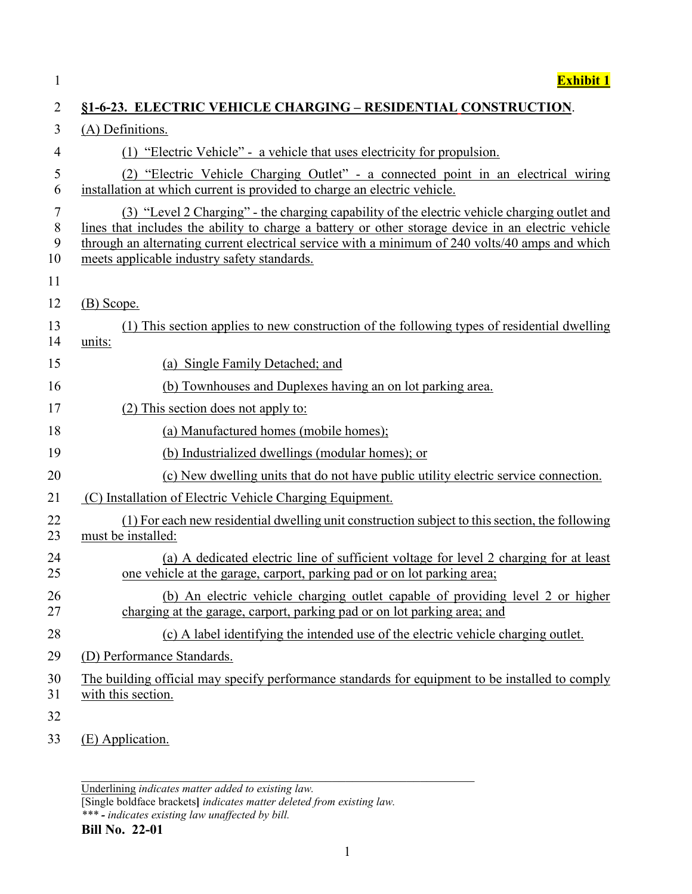| $\mathbf{1}$           | <b>Exhibit 1</b>                                                                                                                                                                                                                                                                                                                                     |
|------------------------|------------------------------------------------------------------------------------------------------------------------------------------------------------------------------------------------------------------------------------------------------------------------------------------------------------------------------------------------------|
| $\overline{2}$         | §1-6-23. ELECTRIC VEHICLE CHARGING – RESIDENTIAL CONSTRUCTION.                                                                                                                                                                                                                                                                                       |
| 3                      | (A) Definitions.                                                                                                                                                                                                                                                                                                                                     |
| $\overline{4}$         | (1) "Electric Vehicle" - a vehicle that uses electricity for propulsion.                                                                                                                                                                                                                                                                             |
| 5<br>6                 | (2) "Electric Vehicle Charging Outlet" - a connected point in an electrical wiring<br>installation at which current is provided to charge an electric vehicle.                                                                                                                                                                                       |
| 7<br>$\, 8$<br>9<br>10 | (3) "Level 2 Charging" - the charging capability of the electric vehicle charging outlet and<br>lines that includes the ability to charge a battery or other storage device in an electric vehicle<br>through an alternating current electrical service with a minimum of 240 volts/40 amps and which<br>meets applicable industry safety standards. |
| 11                     |                                                                                                                                                                                                                                                                                                                                                      |
| 12                     | $(B)$ Scope.                                                                                                                                                                                                                                                                                                                                         |
| 13<br>14               | (1) This section applies to new construction of the following types of residential dwelling<br>units:                                                                                                                                                                                                                                                |
| 15                     | (a) Single Family Detached; and                                                                                                                                                                                                                                                                                                                      |
| 16                     | (b) Townhouses and Duplexes having an on lot parking area.                                                                                                                                                                                                                                                                                           |
| 17                     | (2) This section does not apply to:                                                                                                                                                                                                                                                                                                                  |
| 18                     | (a) Manufactured homes (mobile homes);                                                                                                                                                                                                                                                                                                               |
| 19                     | (b) Industrialized dwellings (modular homes); or                                                                                                                                                                                                                                                                                                     |
| 20                     | (c) New dwelling units that do not have public utility electric service connection.                                                                                                                                                                                                                                                                  |
| 21                     | (C) Installation of Electric Vehicle Charging Equipment.                                                                                                                                                                                                                                                                                             |
| 22<br>23               | (1) For each new residential dwelling unit construction subject to this section, the following<br>must be installed:                                                                                                                                                                                                                                 |
| 24<br>25               | (a) A dedicated electric line of sufficient voltage for level 2 charging for at least<br>one vehicle at the garage, carport, parking pad or on lot parking area;                                                                                                                                                                                     |
| 26<br>27               | (b) An electric vehicle charging outlet capable of providing level 2 or higher<br>charging at the garage, carport, parking pad or on lot parking area; and                                                                                                                                                                                           |
| 28                     | (c) A label identifying the intended use of the electric vehicle charging outlet.                                                                                                                                                                                                                                                                    |
| 29                     | (D) Performance Standards.                                                                                                                                                                                                                                                                                                                           |
| 30<br>31               | The building official may specify performance standards for equipment to be installed to comply<br>with this section.                                                                                                                                                                                                                                |
| 32                     |                                                                                                                                                                                                                                                                                                                                                      |
| 33                     | (E) Application.                                                                                                                                                                                                                                                                                                                                     |

Underlining *indicates matter added to existing law.*

[Single boldface brackets**]** *indicates matter deleted from existing law.*

*\_\_\_\_\_\_\_\_\_\_\_\_\_\_\_\_\_\_\_\_\_\_\_\_\_\_\_\_\_\_\_\_\_\_\_\_\_\_\_\_\_\_\_\_\_\_\_\_\_\_\_\_\_\_\_\_\_\_*

*\*\*\* - indicates existing law unaffected by bill.*

## **Bill No. 22-01**